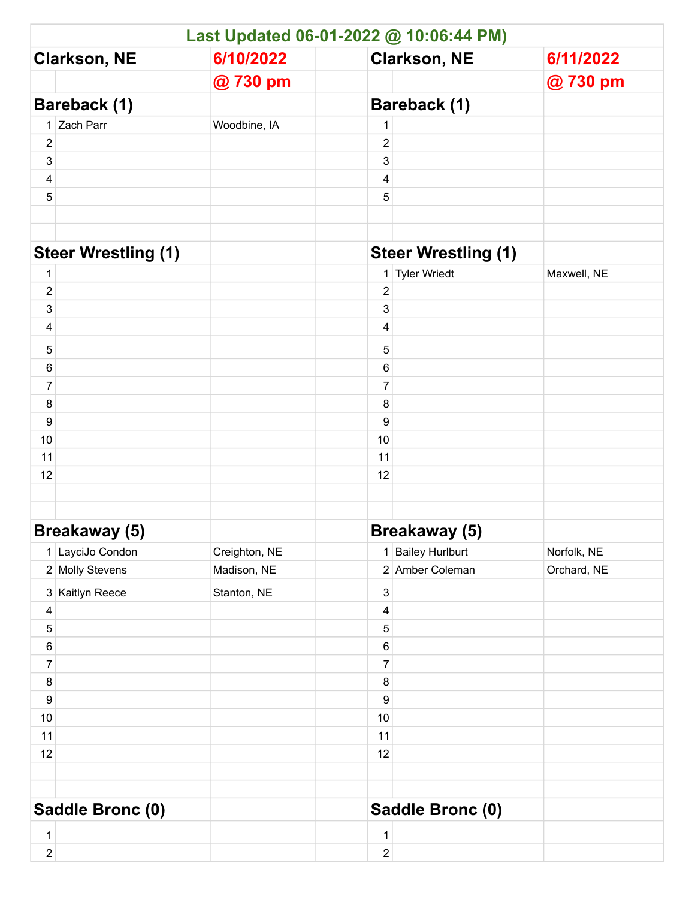| Last Updated 06-01-2022 @ 10:06:44 PM) |                      |               |                            |                      |             |  |  |  |
|----------------------------------------|----------------------|---------------|----------------------------|----------------------|-------------|--|--|--|
| <b>Clarkson, NE</b>                    |                      | 6/10/2022     | <b>Clarkson, NE</b>        |                      | 6/11/2022   |  |  |  |
|                                        |                      | @730 pm       |                            |                      | @730 pm     |  |  |  |
| Bareback (1)                           |                      |               | <b>Bareback (1)</b>        |                      |             |  |  |  |
|                                        | 1 Zach Parr          | Woodbine, IA  | 1                          |                      |             |  |  |  |
| $\overline{\mathbf{c}}$                |                      |               | $\overline{c}$             |                      |             |  |  |  |
| 3                                      |                      |               | 3                          |                      |             |  |  |  |
| 4                                      |                      |               | 4                          |                      |             |  |  |  |
| 5                                      |                      |               | 5                          |                      |             |  |  |  |
|                                        |                      |               |                            |                      |             |  |  |  |
| <b>Steer Wrestling (1)</b>             |                      |               | <b>Steer Wrestling (1)</b> |                      |             |  |  |  |
| $\mathbf 1$                            |                      |               |                            | 1 Tyler Wriedt       | Maxwell, NE |  |  |  |
| $\overline{2}$                         |                      |               | $\overline{2}$             |                      |             |  |  |  |
| 3                                      |                      |               | 3                          |                      |             |  |  |  |
| 4                                      |                      |               | 4                          |                      |             |  |  |  |
| 5                                      |                      |               | 5                          |                      |             |  |  |  |
| 6                                      |                      |               | 6                          |                      |             |  |  |  |
| $\boldsymbol{7}$                       |                      |               | $\overline{7}$             |                      |             |  |  |  |
| 8                                      |                      |               | 8                          |                      |             |  |  |  |
| $\boldsymbol{9}$                       |                      |               | 9                          |                      |             |  |  |  |
| 10                                     |                      |               | 10                         |                      |             |  |  |  |
| 11                                     |                      |               | 11                         |                      |             |  |  |  |
| 12                                     |                      |               | 12                         |                      |             |  |  |  |
|                                        |                      |               |                            |                      |             |  |  |  |
|                                        |                      |               |                            |                      |             |  |  |  |
|                                        | <b>Breakaway (5)</b> |               |                            | <b>Breakaway (5)</b> |             |  |  |  |
|                                        | 1 LayciJo Condon     | Creighton, NE |                            | 1 Bailey Hurlburt    | Norfolk, NE |  |  |  |
|                                        | 2 Molly Stevens      | Madison, NE   |                            | 2 Amber Coleman      | Orchard, NE |  |  |  |
|                                        | 3 Kaitlyn Reece      | Stanton, NE   | 3                          |                      |             |  |  |  |
| 4                                      |                      |               | 4                          |                      |             |  |  |  |
| 5                                      |                      |               | 5                          |                      |             |  |  |  |
| $\,6\,$<br>$\boldsymbol{7}$            |                      |               | 6<br>$\boldsymbol{7}$      |                      |             |  |  |  |
| $\bf 8$                                |                      |               | 8                          |                      |             |  |  |  |
| $\boldsymbol{9}$                       |                      |               | 9                          |                      |             |  |  |  |
| $10\,$                                 |                      |               | $10$                       |                      |             |  |  |  |
| 11                                     |                      |               | 11                         |                      |             |  |  |  |
| 12                                     |                      |               | 12                         |                      |             |  |  |  |
|                                        |                      |               |                            |                      |             |  |  |  |
|                                        |                      |               |                            |                      |             |  |  |  |
| Saddle Bronc (0)                       |                      |               | Saddle Bronc (0)           |                      |             |  |  |  |
| $\mathbf 1$                            |                      |               | 1                          |                      |             |  |  |  |
| $\overline{2}$                         |                      |               | $\overline{\mathbf{c}}$    |                      |             |  |  |  |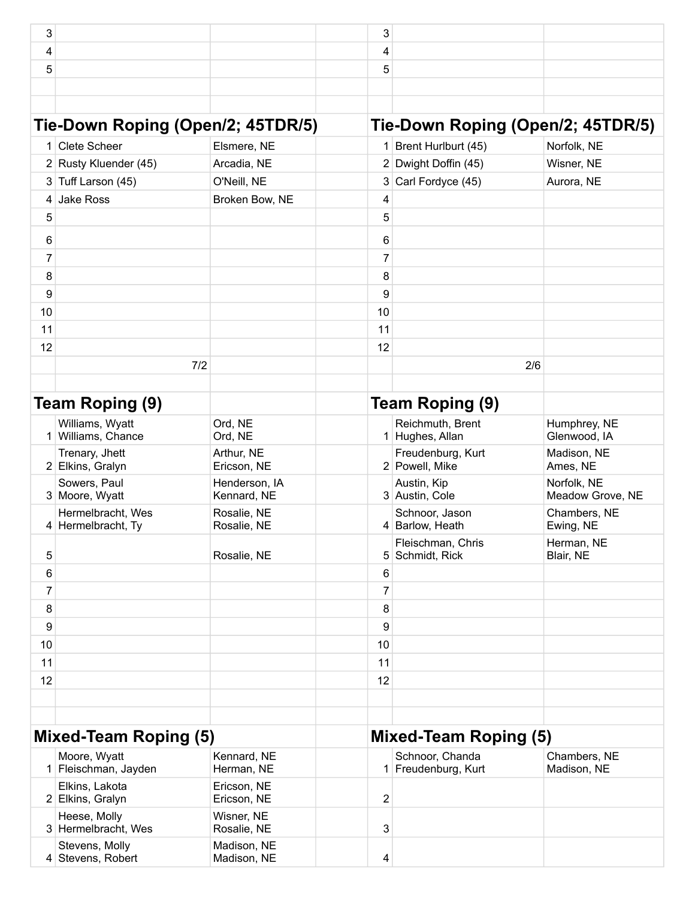| 3                            |                                         |                              | 3              |                                        |                                   |
|------------------------------|-----------------------------------------|------------------------------|----------------|----------------------------------------|-----------------------------------|
| 4                            |                                         |                              | 4              |                                        |                                   |
| 5                            |                                         |                              | 5              |                                        |                                   |
|                              |                                         |                              |                |                                        |                                   |
|                              |                                         |                              |                |                                        |                                   |
|                              | Tie-Down Roping (Open/2; 45TDR/5)       |                              |                |                                        | Tie-Down Roping (Open/2; 45TDR/5) |
| 1                            | <b>Clete Scheer</b>                     | Elsmere, NE                  |                | 1 Brent Hurlburt (45)                  | Norfolk, NE                       |
|                              | 2 Rusty Kluender (45)                   | Arcadia, NE                  |                | 2 Dwight Doffin (45)                   | Wisner, NE                        |
|                              | 3 Tuff Larson (45)                      | O'Neill, NE                  | 3              | Carl Fordyce (45)                      | Aurora, NE                        |
| 4                            | <b>Jake Ross</b>                        | Broken Bow, NE               | 4              |                                        |                                   |
| 5                            |                                         |                              | 5              |                                        |                                   |
| 6                            |                                         |                              | 6              |                                        |                                   |
| 7                            |                                         |                              | 7              |                                        |                                   |
| 8                            |                                         |                              | 8              |                                        |                                   |
| 9                            |                                         |                              | 9              |                                        |                                   |
| 10                           |                                         |                              | 10             |                                        |                                   |
| 11                           |                                         |                              | 11             |                                        |                                   |
| 12                           |                                         |                              | 12             |                                        |                                   |
|                              | 7/2                                     |                              |                |                                        | 2/6                               |
|                              |                                         |                              |                |                                        |                                   |
|                              | Team Roping (9)                         |                              |                | Team Roping (9)                        |                                   |
|                              | Williams, Wyatt<br>1 Williams, Chance   | Ord, NE<br>Ord, NE           |                | Reichmuth, Brent<br>1 Hughes, Allan    | Humphrey, NE<br>Glenwood, IA      |
|                              | Trenary, Jhett<br>2 Elkins, Gralyn      | Arthur, NE<br>Ericson, NE    |                | Freudenburg, Kurt<br>2 Powell, Mike    | Madison, NE<br>Ames, NE           |
|                              | Sowers, Paul<br>3 Moore, Wyatt          | Henderson, IA<br>Kennard, NE |                | Austin, Kip<br>3 Austin, Cole          | Norfolk, NE<br>Meadow Grove, NE   |
|                              | Hermelbracht, Wes<br>4 Hermelbracht, Ty | Rosalie, NE<br>Rosalie, NE   |                | Schnoor, Jason<br>4 Barlow, Heath      | Chambers, NE<br>Ewing, NE         |
| 5                            |                                         | Rosalie, NE                  |                | Fleischman, Chris<br>5 Schmidt, Rick   | Herman, NE<br>Blair, NE           |
| 6                            |                                         |                              | 6              |                                        |                                   |
| $\overline{7}$               |                                         |                              | 7              |                                        |                                   |
| 8                            |                                         |                              | 8              |                                        |                                   |
| 9                            |                                         |                              | 9              |                                        |                                   |
| 10                           |                                         |                              | 10             |                                        |                                   |
| 11<br>12                     |                                         |                              | 11<br>12       |                                        |                                   |
|                              |                                         |                              |                |                                        |                                   |
|                              |                                         |                              |                |                                        |                                   |
| <b>Mixed-Team Roping (5)</b> |                                         |                              |                | <b>Mixed-Team Roping (5)</b>           |                                   |
|                              | Moore, Wyatt<br>1 Fleischman, Jayden    | Kennard, NE<br>Herman, NE    |                | Schnoor, Chanda<br>1 Freudenburg, Kurt | Chambers, NE<br>Madison, NE       |
|                              | Elkins, Lakota<br>2 Elkins, Gralyn      | Ericson, NE<br>Ericson, NE   | $\overline{c}$ |                                        |                                   |
|                              | Heese, Molly<br>3 Hermelbracht, Wes     | Wisner, NE<br>Rosalie, NE    | 3              |                                        |                                   |
|                              | Stevens, Molly<br>4 Stevens, Robert     | Madison, NE<br>Madison, NE   | 4              |                                        |                                   |